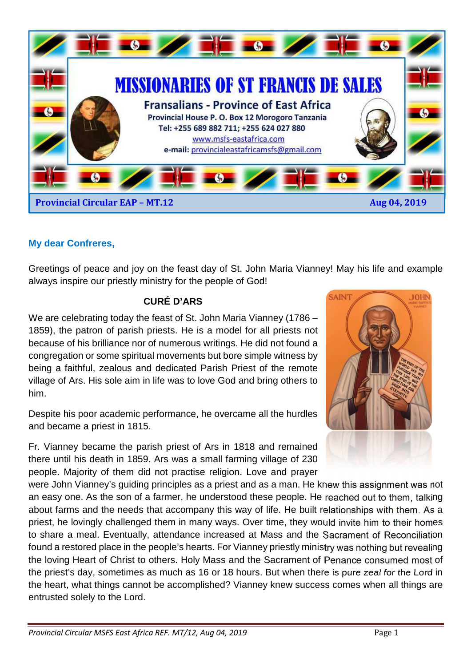

## **My dear Confreres,**

Greetings of peace and joy on the feast day of St. John Maria Vianney! May his life and example always inspire our priestly ministry for the people of God!

#### **CURÉ D'ARS**

We are celebrating today the feast of St. John Maria Vianney (1786 – 1859), the patron of parish priests. He is a model for all priests not because of his brilliance nor of numerous writings. He did not found a congregation or some spiritual movements but bore simple witness by being a faithful, zealous and dedicated Parish Priest of the remote village of Ars. His sole aim in life was to love God and bring others to him.

Despite his poor academic performance, he overcame all the hurdles and became a priest in 1815.

Fr. Vianney became the parish priest of Ars in 1818 and remained there until his death in 1859. Ars was a small farming village of 230 people. Majority of them did not practise religion. Love and prayer

were John Vianney's guiding principles as a priest and as a man. He knew this assignment was not an easy one. As the son of a farmer, he understood these people. He reached out to them, talking about farms and the needs that accompany this way of life. He built relationships with them. As a priest, he lovingly challenged them in many ways. Over time, they would invite him to their homes to share a meal. Eventually, attendance increased at Mass and the Sacrament of Reconciliation found a restored place in the people's hearts. For Vianney priestly ministry was nothing but revealing the loving Heart of Christ to others. Holy Mass and the Sacrament of Penance consumed most of the priest's day, sometimes as much as 16 or 18 hours. But when there is pure zeal for the Lord in the heart, what things cannot be accomplished? Vianney knew success comes when all things are entrusted solely to the Lord.

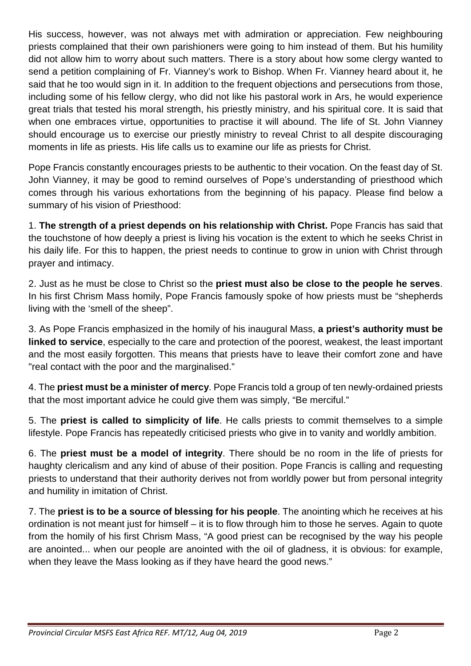His success, however, was not always met with admiration or appreciation. Few neighbouring priests complained that their own parishioners were going to him instead of them. But his humility did not allow him to worry about such matters. There is a story about how some clergy wanted to send a petition complaining of Fr. Vianney's work to Bishop. When Fr. Vianney heard about it, he said that he too would sign in it. In addition to the frequent objections and persecutions from those, including some of his fellow clergy, who did not like his pastoral work in Ars, he would experience great trials that tested his moral strength, his priestly ministry, and his spiritual core. It is said that when one embraces virtue, opportunities to practise it will abound. The life of St. John Vianney should encourage us to exercise our priestly ministry to reveal Christ to all despite discouraging moments in life as priests. His life calls us to examine our life as priests for Christ.

Pope Francis constantly encourages priests to be authentic to their vocation. On the feast day of St. John Vianney, it may be good to remind ourselves of Pope's understanding of priesthood which comes through his various exhortations from the beginning of his papacy. Please find below a summary of his vision of Priesthood:

1. **The strength of a priest depends on his relationship with Christ.** Pope Francis has said that the touchstone of how deeply a priest is living his vocation is the extent to which he seeks Christ in his daily life. For this to happen, the priest needs to continue to grow in union with Christ through prayer and intimacy.

2. Just as he must be close to Christ so the **priest must also be close to the people he serves**. In his first Chrism Mass homily, Pope Francis famously spoke of how priests must be "shepherds living with the 'smell of the sheep".

3. As Pope Francis emphasized in the homily of his inaugural Mass, **a priest's authority must be linked to service**, especially to the care and protection of the poorest, weakest, the least important and the most easily forgotten. This means that priests have to leave their comfort zone and have "real contact with the poor and the marginalised."

4. The **priest must be a minister of mercy**. Pope Francis told a group of ten newly-ordained priests that the most important advice he could give them was simply, "Be merciful."

5. The **priest is called to simplicity of life**. He calls priests to commit themselves to a simple lifestyle. Pope Francis has repeatedly criticised priests who give in to vanity and worldly ambition.

6. The **priest must be a model of integrity**. There should be no room in the life of priests for haughty clericalism and any kind of abuse of their position. Pope Francis is calling and requesting priests to understand that their authority derives not from worldly power but from personal integrity and humility in imitation of Christ.

7. The **priest is to be a source of blessing for his people**. The anointing which he receives at his ordination is not meant just for himself – it is to flow through him to those he serves. Again to quote from the homily of his first Chrism Mass, "A good priest can be recognised by the way his people are anointed... when our people are anointed with the oil of gladness, it is obvious: for example, when they leave the Mass looking as if they have heard the good news."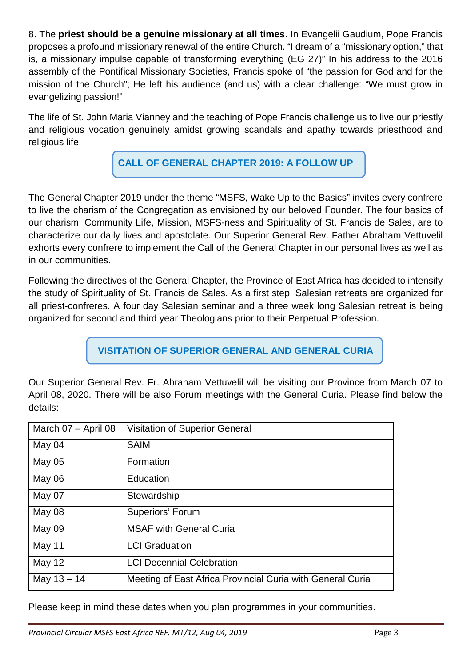8. The **priest should be a genuine missionary at all times**. In Evangelii Gaudium, Pope Francis proposes a profound missionary renewal of the entire Church. "I dream of a "missionary option," that is, a missionary impulse capable of transforming everything (EG 27)" In his address to the 2016 assembly of the Pontifical Missionary Societies, Francis spoke of "the passion for God and for the mission of the Church"; He left his audience (and us) with a clear challenge: "We must grow in evangelizing passion!"

The life of St. John Maria Vianney and the teaching of Pope Francis challenge us to live our priestly and religious vocation genuinely amidst growing scandals and apathy towards priesthood and religious life.

**CALL OF GENERAL CHAPTER 2019: A FOLLOW UP** 

The General Chapter 2019 under the theme "MSFS, Wake Up to the Basics" invites every confrere to live the charism of the Congregation as envisioned by our beloved Founder. The four basics of our charism: Community Life, Mission, MSFS-ness and Spirituality of St. Francis de Sales, are to characterize our daily lives and apostolate. Our Superior General Rev. Father Abraham Vettuvelil exhorts every confrere to implement the Call of the General Chapter in our personal lives as well as in our communities.

Following the directives of the General Chapter, the Province of East Africa has decided to intensify the study of Spirituality of St. Francis de Sales. As a first step, Salesian retreats are organized for all priest-confreres. A four day Salesian seminar and a three week long Salesian retreat is being organized for second and third year Theologians prior to their Perpetual Profession.

**VISITATION OF SUPERIOR GENERAL AND GENERAL CURIA** 

Our Superior General Rev. Fr. Abraham Vettuvelil will be visiting our Province from March 07 to April 08, 2020. There will be also Forum meetings with the General Curia. Please find below the details:

| March 07 - April 08 | Visitation of Superior General                             |
|---------------------|------------------------------------------------------------|
| May 04              | <b>SAIM</b>                                                |
| May 05              | Formation                                                  |
| May 06              | Education                                                  |
| May 07              | Stewardship                                                |
| May 08              | <b>Superiors' Forum</b>                                    |
| May 09              | <b>MSAF with General Curia</b>                             |
| May 11              | <b>LCI</b> Graduation                                      |
| <b>May 12</b>       | <b>LCI Decennial Celebration</b>                           |
| May $13 - 14$       | Meeting of East Africa Provincial Curia with General Curia |

Please keep in mind these dates when you plan programmes in your communities.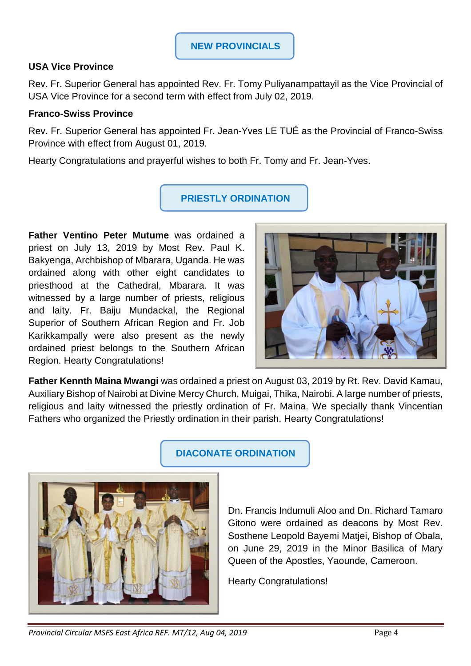## **USA Vice Province**

Rev. Fr. Superior General has appointed Rev. Fr. Tomy Puliyanampattayil as the Vice Provincial of USA Vice Province for a second term with effect from July 02, 2019.

#### **Franco-Swiss Province**

Rev. Fr. Superior General has appointed Fr. Jean-Yves LE TUÉ as the Provincial of Franco-Swiss Province with effect from August 01, 2019.

Hearty Congratulations and prayerful wishes to both Fr. Tomy and Fr. Jean-Yves.

# **PRIESTLY ORDINATION**

**Father Ventino Peter Mutume** was ordained a priest on July 13, 2019 by Most Rev. Paul K. Bakyenga, Archbishop of Mbarara, Uganda. He was ordained along with other eight candidates to priesthood at the Cathedral, Mbarara. It was witnessed by a large number of priests, religious and laity. Fr. Baiju Mundackal, the Regional Superior of Southern African Region and Fr. Job Karikkampally were also present as the newly ordained priest belongs to the Southern African Region. Hearty Congratulations!



**Father Kennth Maina Mwangi** was ordained a priest on August 03, 2019 by Rt. Rev. David Kamau, Auxiliary Bishop of Nairobi at Divine Mercy Church, Muigai, Thika, Nairobi. A large number of priests, religious and laity witnessed the priestly ordination of Fr. Maina. We specially thank Vincentian Fathers who organized the Priestly ordination in their parish. Hearty Congratulations!



# **DIACONATE ORDINATION**

Dn. Francis Indumuli Aloo and Dn. Richard Tamaro Gitono were ordained as deacons by Most Rev. Sosthene Leopold Bayemi Matjei, Bishop of Obala, on June 29, 2019 in the Minor Basilica of Mary Queen of the Apostles, Yaounde, Cameroon.

Hearty Congratulations!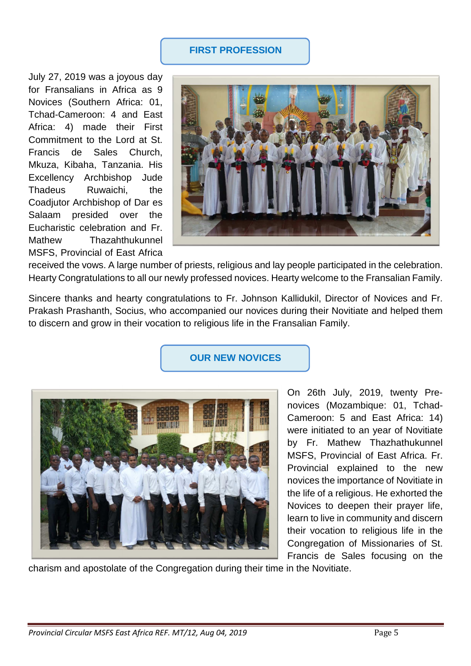## **FIRST PROFESSION**

July 27, 2019 was a joyous day for Fransalians in Africa as 9 Novices (Southern Africa: 01, Tchad-Cameroon: 4 and East Africa: 4) made their First Commitment to the Lord at St. Francis de Sales Church, Mkuza, Kibaha, Tanzania. His Excellency Archbishop Jude Thadeus Ruwaichi, the Coadjutor Archbishop of Dar es Salaam presided over the Eucharistic celebration and Fr. Mathew Thazahthukunnel MSFS, Provincial of East Africa



received the vows. A large number of priests, religious and lay people participated in the celebration. Hearty Congratulations to all our newly professed novices. Hearty welcome to the Fransalian Family.

Sincere thanks and hearty congratulations to Fr. Johnson Kallidukil, Director of Novices and Fr. Prakash Prashanth, Socius, who accompanied our novices during their Novitiate and helped them to discern and grow in their vocation to religious life in the Fransalian Family.





On 26th July, 2019, twenty Prenovices (Mozambique: 01, Tchad-Cameroon: 5 and East Africa: 14) were initiated to an year of Novitiate by Fr. Mathew Thazhathukunnel MSFS, Provincial of East Africa. Fr. Provincial explained to the new novices the importance of Novitiate in the life of a religious. He exhorted the Novices to deepen their prayer life, learn to live in community and discern their vocation to religious life in the Congregation of Missionaries of St. Francis de Sales focusing on the

charism and apostolate of the Congregation during their time in the Novitiate.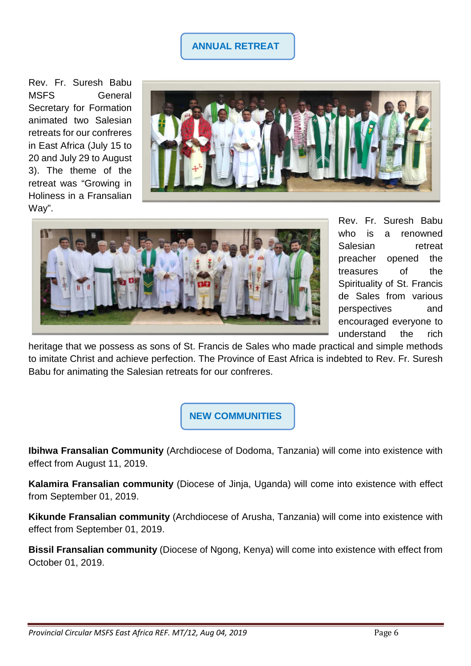# **ANNUAL RETREAT**

Rev. Fr. Suresh Babu MSFS General Secretary for Formation animated two Salesian retreats for our confreres in East Africa (July 15 to 20 and July 29 to August 3). The theme of the retreat was "Growing in Holiness in a Fransalian Way".





Rev. Fr. Suresh Babu who is a renowned Salesian retreat preacher opened the treasures of the Spirituality of St. Francis de Sales from various perspectives and encouraged everyone to understand the rich

heritage that we possess as sons of St. Francis de Sales who made practical and simple methods to imitate Christ and achieve perfection. The Province of East Africa is indebted to Rev. Fr. Suresh Babu for animating the Salesian retreats for our confreres.

**NEW COMMUNITIES** 

**Ibihwa Fransalian Community** (Archdiocese of Dodoma, Tanzania) will come into existence with effect from August 11, 2019.

**Kalamira Fransalian community** (Diocese of Jinja, Uganda) will come into existence with effect from September 01, 2019.

**Kikunde Fransalian community** (Archdiocese of Arusha, Tanzania) will come into existence with effect from September 01, 2019.

**Bissil Fransalian community** (Diocese of Ngong, Kenya) will come into existence with effect from October 01, 2019.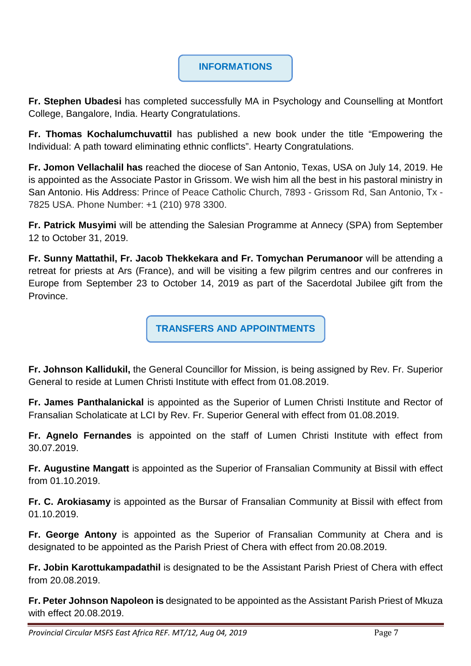# **INFORMATIONS**

**Fr. Stephen Ubadesi** has completed successfully MA in Psychology and Counselling at Montfort College, Bangalore, India. Hearty Congratulations.

**Fr. Thomas Kochalumchuvattil** has published a new book under the title "Empowering the Individual: A path toward eliminating ethnic conflicts". Hearty Congratulations.

**Fr. Jomon Vellachalil has** reached the diocese of San Antonio, Texas, USA on July 14, 2019. He is appointed as the Associate Pastor in Grissom. We wish him all the best in his pastoral ministry in San Antonio. His Address: Prince of Peace Catholic Church, 7893 - Grissom Rd, San Antonio, Tx - 7825 USA. Phone Number: +1 (210) 978 3300.

**Fr. Patrick Musyimi** will be attending the Salesian Programme at Annecy (SPA) from September 12 to October 31, 2019.

**Fr. Sunny Mattathil, Fr. Jacob Thekkekara and Fr. Tomychan Perumanoor** will be attending a retreat for priests at Ars (France), and will be visiting a few pilgrim centres and our confreres in Europe from September 23 to October 14, 2019 as part of the Sacerdotal Jubilee gift from the Province.

**TRANSFERS AND APPOINTMENTS**

**Fr. Johnson Kallidukil,** the General Councillor for Mission, is being assigned by Rev. Fr. Superior General to reside at Lumen Christi Institute with effect from 01.08.2019.

**Fr. James Panthalanickal** is appointed as the Superior of Lumen Christi Institute and Rector of Fransalian Scholaticate at LCI by Rev. Fr. Superior General with effect from 01.08.2019.

**Fr. Agnelo Fernandes** is appointed on the staff of Lumen Christi Institute with effect from 30.07.2019.

**Fr. Augustine Mangatt** is appointed as the Superior of Fransalian Community at Bissil with effect from 01.10.2019.

**Fr. C. Arokiasamy** is appointed as the Bursar of Fransalian Community at Bissil with effect from 01.10.2019.

**Fr. George Antony** is appointed as the Superior of Fransalian Community at Chera and is designated to be appointed as the Parish Priest of Chera with effect from 20.08.2019.

**Fr. Jobin Karottukampadathil** is designated to be the Assistant Parish Priest of Chera with effect from 20.08.2019.

**Fr. Peter Johnson Napoleon is** designated to be appointed as the Assistant Parish Priest of Mkuza with effect 20.08.2019.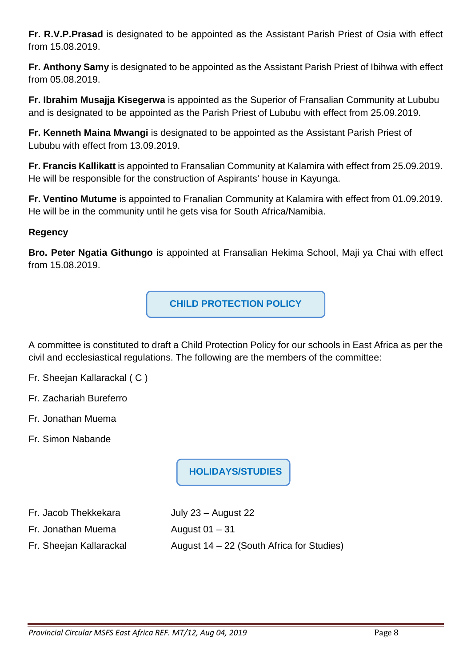**Fr. R.V.P.Prasad** is designated to be appointed as the Assistant Parish Priest of Osia with effect from 15.08.2019.

**Fr. Anthony Samy** is designated to be appointed as the Assistant Parish Priest of Ibihwa with effect from 05.08.2019.

**Fr. Ibrahim Musajja Kisegerwa** is appointed as the Superior of Fransalian Community at Lububu and is designated to be appointed as the Parish Priest of Lububu with effect from 25.09.2019.

**Fr. Kenneth Maina Mwangi** is designated to be appointed as the Assistant Parish Priest of Lububu with effect from 13.09.2019.

**Fr. Francis Kallikatt** is appointed to Fransalian Community at Kalamira with effect from 25.09.2019. He will be responsible for the construction of Aspirants' house in Kayunga.

**Fr. Ventino Mutume** is appointed to Franalian Community at Kalamira with effect from 01.09.2019. He will be in the community until he gets visa for South Africa/Namibia.

## **Regency**

**Bro. Peter Ngatia Githungo** is appointed at Fransalian Hekima School, Maji ya Chai with effect from 15.08.2019.

**CHILD PROTECTION POLICY** 

A committee is constituted to draft a Child Protection Policy for our schools in East Africa as per the civil and ecclesiastical regulations. The following are the members of the committee:

- Fr. Sheejan Kallarackal ( C )
- Fr. Zachariah Bureferro
- Fr. Jonathan Muema
- Fr. Simon Nabande

**HOLIDAYS/STUDIES** 

Fr. Jacob Thekkekara July 23 – August 22

Fr. Jonathan Muema August 01 – 31

Fr. Sheejan Kallarackal  $A = 22$  (South Africa for Studies)